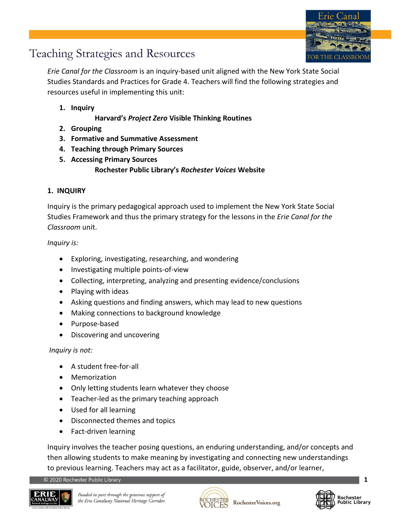

*Erie Canal for the Classroom* is an inquiry-based unit aligned with the New York State Social Studies Standards and Practices for Grade 4. Teachers will find the following strategies and resources useful in implementing this unit:

**1. Inquiry**

**Harvard's** *Project Zero* **Visible Thinking Routines**

- **2. Grouping**
- **3. Formative and Summative Assessment**
- **4. Teaching through Primary Sources**
- **5. Accessing Primary Sources Rochester Public Library's** *Rochester Voices* **Website**

## **1. INQUIRY**

Inquiry is the primary pedagogical approach used to implement the New York State Social Studies Framework and thus the primary strategy for the lessons in the *Erie Canal for the Classroom* unit.

*Inquiry is:*

- Exploring, investigating, researching, and wondering
- Investigating multiple points-of-view
- Collecting, interpreting, analyzing and presenting evidence/conclusions
- Playing with ideas
- Asking questions and finding answers, which may lead to new questions
- Making connections to background knowledge
- Purpose-based
- Discovering and uncovering

*Inquiry is not:*

- A student free-for-all
- Memorization
- Only letting students learn whatever they choose
- Teacher-led as the primary teaching approach
- Used for all learning
- Disconnected themes and topics
- Fact-driven learning

Inquiry involves the teacher posing questions, an enduring understanding, and/or concepts and then allowing students to make meaning by investigating and connecting new understandings to previous learning. Teachers may act as a facilitator, guide, observer, and/or learner,

© 2020 Rochester Public Library





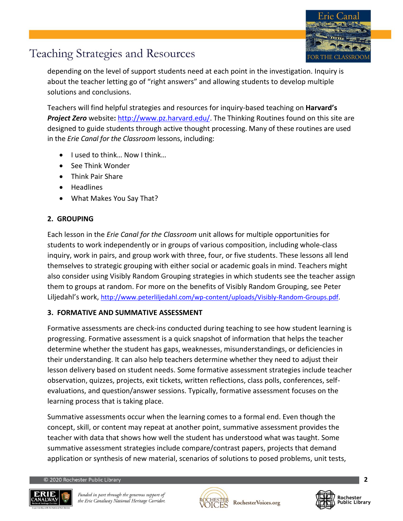

depending on the level of support students need at each point in the investigation. Inquiry is about the teacher letting go of "right answers" and allowing students to develop multiple solutions and conclusions.

Teachers will find helpful strategies and resources for inquiry-based teaching on **Harvard's**  *Project Zero* website**:** [http://www.pz.harvard.edu/.](http://www.pz.harvard.edu/) The Thinking Routines found on this site are designed to guide students through active thought processing. Many of these routines are used in the *Erie Canal for the Classroom* lessons, including:

- I used to think... Now I think...
- See Think Wonder
- Think Pair Share
- Headlines
- What Makes You Say That?

### **2. GROUPING**

Each lesson in the *Erie Canal for the Classroom* unit allows for multiple opportunities for students to work independently or in groups of various composition, including whole-class inquiry, work in pairs, and group work with three, four, or five students. These lessons all lend themselves to strategic grouping with either social or academic goals in mind. Teachers might also consider using Visibly Random Grouping strategies in which students see the teacher assign them to groups at random. For more on the benefits of Visibly Random Grouping, see Peter Liljedahl's work, [http://www.peterliljedahl.com/wp-content/uploads/Visibly-Random-Groups.pdf.](http://www.peterliljedahl.com/wp-content/uploads/Visibly-Random-Groups.pdf)

#### **3. FORMATIVE AND SUMMATIVE ASSESSMENT**

Formative assessments are check-ins conducted during teaching to see how student learning is progressing. Formative assessment is a quick snapshot of information that helps the teacher determine whether the student has gaps, weaknesses, misunderstandings, or deficiencies in their understanding. It can also help teachers determine whether they need to adjust their lesson delivery based on student needs. Some formative assessment strategies include teacher observation, quizzes, projects, exit tickets, written reflections, class polls, conferences, selfevaluations, and question/answer sessions. Typically, formative assessment focuses on the learning process that is taking place.

Summative assessments occur when the learning comes to a formal end. Even though the concept, skill, or content may repeat at another point, summative assessment provides the teacher with data that shows how well the student has understood what was taught. Some summative assessment strategies include compare/contrast papers, projects that demand application or synthesis of new material, scenarios of solutions to posed problems, unit tests,

2020 Rochester Public Library





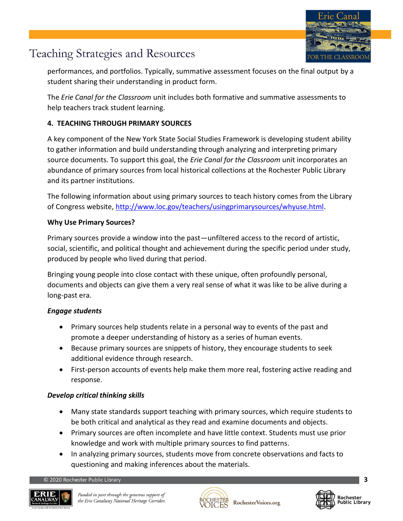

performances, and portfolios. Typically, summative assessment focuses on the final output by a student sharing their understanding in product form.

The *Erie Canal for the Classroom* unit includes both formative and summative assessments to help teachers track student learning.

## **4. TEACHING THROUGH PRIMARY SOURCES**

A key component of the New York State Social Studies Framework is developing student ability to gather information and build understanding through analyzing and interpreting primary source documents. To support this goal, the *Erie Canal for the Classroom* unit incorporates an abundance of primary sources from local historical collections at the Rochester Public Library and its partner institutions.

The following information about using primary sources to teach history comes from the Library of Congress website, [http://www.loc.gov/teachers/usingprimarysources/whyuse.html.](http://www.loc.gov/teachers/usingprimarysources/whyuse.html)

#### **Why Use Primary Sources?**

Primary sources provide a window into the past—unfiltered access to the record of artistic, social, scientific, and political thought and achievement during the specific period under study, produced by people who lived during that period.

Bringing young people into close contact with these unique, often profoundly personal, documents and objects can give them a very real sense of what it was like to be alive during a long-past era.

#### *Engage students*

- Primary sources help students relate in a personal way to events of the past and promote a deeper understanding of history as a series of human events.
- Because primary sources are snippets of history, they encourage students to seek additional evidence through research.
- First-person accounts of events help make them more real, fostering active reading and response.

## *Develop critical thinking skills*

- Many state standards support teaching with primary sources, which require students to be both critical and analytical as they read and examine documents and objects.
- Primary sources are often incomplete and have little context. Students must use prior knowledge and work with multiple primary sources to find patterns.
- In analyzing primary sources, students move from concrete observations and facts to questioning and making inferences about the materials.

© 2020 Rochester Public Library





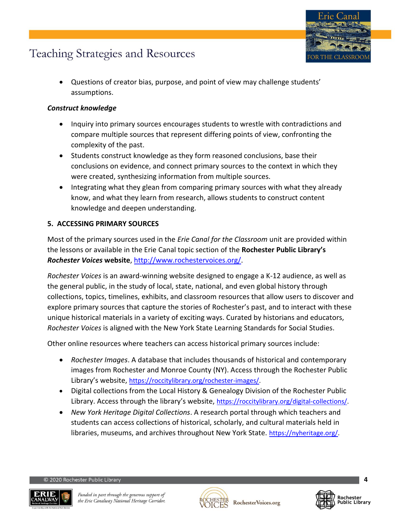

• Questions of creator bias, purpose, and point of view may challenge students' assumptions.

#### *Construct knowledge*

- Inquiry into primary sources encourages students to wrestle with contradictions and compare multiple sources that represent differing points of view, confronting the complexity of the past.
- Students construct knowledge as they form reasoned conclusions, base their conclusions on evidence, and connect primary sources to the context in which they were created, synthesizing information from multiple sources.
- Integrating what they glean from comparing primary sources with what they already know, and what they learn from research, allows students to construct content knowledge and deepen understanding.

#### **5. ACCESSING PRIMARY SOURCES**

Most of the primary sources used in the *Erie Canal for the Classroom* unit are provided within the lessons or available in the Erie Canal topic section of the **Rochester Public Library's**  *Rochester Voices* **website**, [http://www.rochestervoices.org/.](http://www.rochestervoices.org/)

*Rochester Voices* is an award-winning website designed to engage a K-12 audience, as well as the general public, in the study of local, state, national, and even global history through collections, topics, timelines, exhibits, and classroom resources that allow users to discover and explore primary sources that capture the stories of Rochester's past, and to interact with these unique historical materials in a variety of exciting ways. Curated by historians and educators, *Rochester Voices* is aligned with the New York State Learning Standards for Social Studies.

Other online resources where teachers can access historical primary sources include:

- *Rochester Images*. A database that includes thousands of historical and contemporary images from Rochester and Monroe County (NY). Access through the Rochester Public Library's website, [https://roccitylibrary.org/rochester-images/.](https://roccitylibrary.org/rochester-images/)
- Digital collections from the Local History & Genealogy Division of the Rochester Public Library. Access through the library's website, [https://roccitylibrary.org/digital-collections/.](https://roccitylibrary.org/digital-collections/)
- *New York Heritage Digital Collections*. A research portal through which teachers and students can access collections of historical, scholarly, and cultural materials held in libraries, museums, and archives throughout New York State. [https://nyheritage.org/.](https://nyheritage.org/)